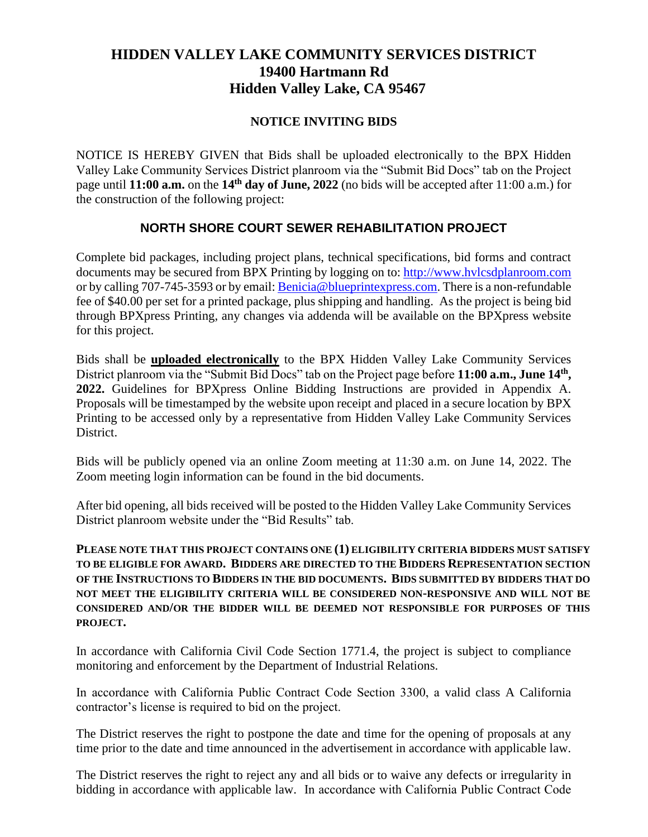## **HIDDEN VALLEY LAKE COMMUNITY SERVICES DISTRICT 19400 Hartmann Rd Hidden Valley Lake, CA 95467**

## **NOTICE INVITING BIDS**

NOTICE IS HEREBY GIVEN that Bids shall be uploaded electronically to the BPX Hidden Valley Lake Community Services District planroom via the "Submit Bid Docs" tab on the Project page until **11:00 a.m.** on the **14th day of June, 2022** (no bids will be accepted after 11:00 a.m.) for the construction of the following project:

## **NORTH SHORE COURT SEWER REHABILITATION PROJECT**

Complete bid packages, including project plans, technical specifications, bid forms and contract documents may be secured from BPX Printing by logging on to: [http://www.hvlcsdplanroom.com](http://www.hvlcsdplanroom.com/) or by calling 707-745-3593 or by email: Benici[a@blueprintexpress.com.](mailto:Richmond@blueprintexpress.com) There is a non-refundable fee of \$40.00 per set for a printed package, plus shipping and handling. As the project is being bid through BPXpress Printing, any changes via addenda will be available on the BPXpress website for this project.

Bids shall be **uploaded electronically** to the BPX Hidden Valley Lake Community Services District planroom via the "Submit Bid Docs" tab on the Project page before **11:00 a.m., June 14th , 2022.** Guidelines for BPXpress Online Bidding Instructions are provided in Appendix A. Proposals will be timestamped by the website upon receipt and placed in a secure location by BPX Printing to be accessed only by a representative from Hidden Valley Lake Community Services District.

Bids will be publicly opened via an online Zoom meeting at 11:30 a.m. on June 14, 2022. The Zoom meeting login information can be found in the bid documents.

After bid opening, all bids received will be posted to the Hidden Valley Lake Community Services District planroom website under the "Bid Results" tab.

**PLEASE NOTE THAT THIS PROJECT CONTAINS ONE (1) ELIGIBILITY CRITERIA BIDDERS MUST SATISFY TO BE ELIGIBLE FOR AWARD. BIDDERS ARE DIRECTED TO THE BIDDERS REPRESENTATION SECTION OF THE INSTRUCTIONS TO BIDDERS IN THE BID DOCUMENTS. BIDS SUBMITTED BY BIDDERS THAT DO NOT MEET THE ELIGIBILITY CRITERIA WILL BE CONSIDERED NON-RESPONSIVE AND WILL NOT BE CONSIDERED AND/OR THE BIDDER WILL BE DEEMED NOT RESPONSIBLE FOR PURPOSES OF THIS PROJECT.**

In accordance with California Civil Code Section 1771.4, the project is subject to compliance monitoring and enforcement by the Department of Industrial Relations.

In accordance with California Public Contract Code Section 3300, a valid class A California contractor's license is required to bid on the project.

The District reserves the right to postpone the date and time for the opening of proposals at any time prior to the date and time announced in the advertisement in accordance with applicable law.

The District reserves the right to reject any and all bids or to waive any defects or irregularity in bidding in accordance with applicable law. In accordance with California Public Contract Code